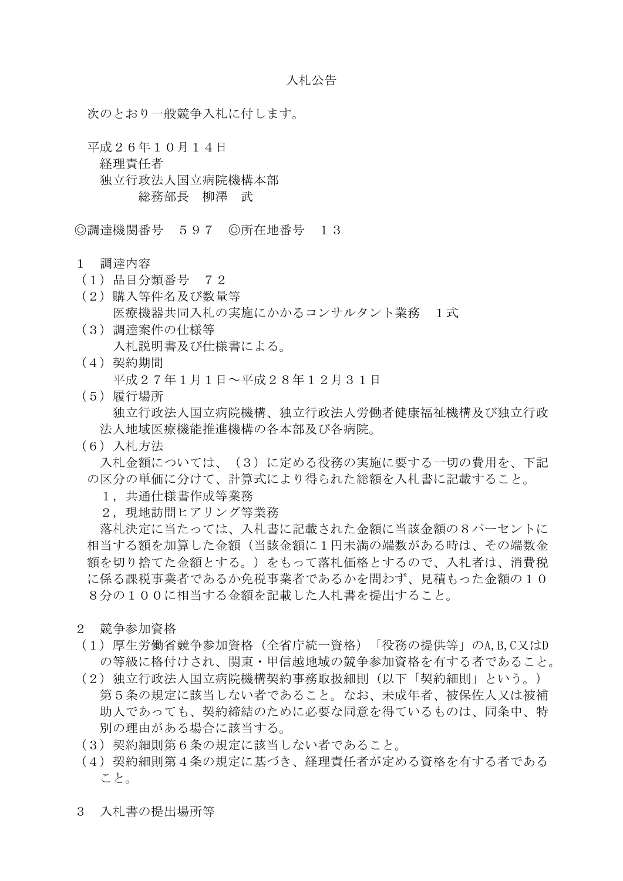次のとおり一般競争入札に付します。

平成26年10月14日 経理責任者 独立行政法人国立病院機構本部 総務部長 柳澤 武

◎調達機関番号 597 ◎所在地番号 13

- 1 調達内容
- (1)品目分類番号 72
- (2)購入等件名及び数量等 医療機器共同入札の実施にかかるコンサルタント業務 1式
- (3)調達案件の仕様等 入札説明書及び仕様書による。
- (4)契約期間 平成27年1月1日~平成28年12月31日
- (5)履行場所 独立行政法人国立病院機構、独立行政法人労働者健康福祉機構及び独立行政 法人地域医療機能推進機構の各本部及び各病院。
- (6)入札方法

入札金額については、(3)に定める役務の実施に要する一切の費用を、下記 の区分の単価に分けて、計算式により得られた総額を入札書に記載すること。

- 1,共通仕様書作成等業務
- 2. 現地訪問ヒアリング等業務

落札決定に当たっては、入札書に記載された金額に当該金額の8パーセントに 相当する額を加算した金額(当該金額に1円未満の端数がある時は、その端数金 額を切り捨てた金額とする。)をもって落札価格とするので、入札者は、消費税 に係る課税事業者であるから問わず、見積もった金額の10 8分の100に相当する金額を記載した入札書を提出すること。

- 2 競争参加資格
- (1)厚生労働省競争参加資格(全省庁統一資格)「役務の提供等」のA,B,C又はD の等級に格付けされ、関東・甲信越地域の競争参加資格を有する者であること。
- (2)独立行政法人国立病院機構契約事務取扱細則(以下「契約細則」という。) 第5条の規定に該当しない者であること。なお、未成年者、被保佐人又は被補 助人であっても、契約締結のために必要な同意を得ているものは、同条中、特 別の理由がある場合に該当する。
- (3)契約細則第6条の規定に該当しない者であること。
- (4)契約細則第4条の規定に基づき、経理責任者が定める資格を有する者である こと。
- 3 入札書の提出場所等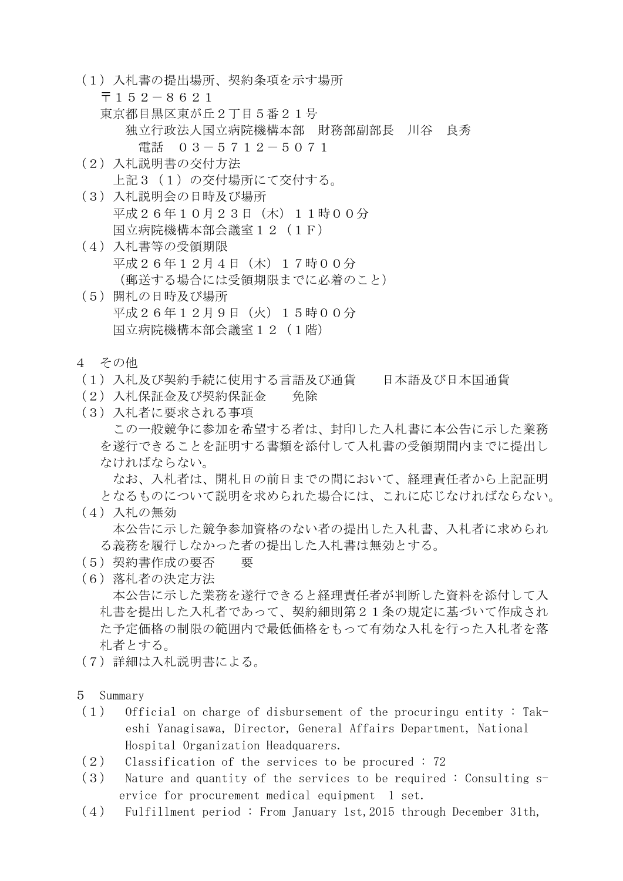- (1)入札書の提出場所、契約条項を示す場所 〒152-8621 東京都目黒区東が丘2丁目5番21号 独立行政法人国立病院機構本部 財務部副部長 川谷 良秀 電話 03-5712-5071 (2)入札説明書の交付方法
- 上記3 (1)の交付場所にて交付する。
- (3)入札説明会の日時及び場所 平成26年10月23日(木)11時00分 国立病院機構本部会議室12(1F)
- (4)入札書等の受領期限 平成26年12月4日(木)17時00分 (郵送する場合には受領期限までに必着のこと)
- (5)開札の日時及び場所 平成26年12月9日(火)15時00分 国立病院機構本部会議室12(1階)
- 4 その他
- (1)入札及び契約手続に使用する言語及び通貨 日本語及び日本国通貨
- (2)入札保証金及び契約保証金 免除
- (3)入札者に要求される事項 この一般競争に参加を希望する者は、封印した入札書に本公告に示した業務 を遂行できることを証明する書類を添付して入札書の受領期間内までに提出し なければならない。

なお、入札者は、開札日の前日までの間において、経理責任者から上記証明 となるものについて説明を求められた場合には、これに応じなければならない。

- (4)入札の無効 本公告に示した競争参加資格のない者の提出した入札書、入札者に求められ る義務を履行しなかった者の提出した入札書は無効とする。
- (5)契約書作成の要否 要
- (6)落札者の決定方法

本公告に示した業務を遂行できると経理責任者が判断した資料を添付して入 札書を提出した入札者であって、契約細則第21条の規定に基づいて作成され た予定価格の制限の範囲内で最低価格をもって有効な入札を行った入札者を落 札者とする。

- (7)詳細は入札説明書による。
- 5 Summary
- (1) Official on charge of disbursement of the procuringu entity : Takeshi Yanagisawa, Director, General Affairs Department, National Hospital Organization Headquarers.
- (2) Classification of the services to be procured : 72
- $(3)$  Nature and quantity of the services to be required : Consulting  $s$ ervice for procurement medical equipment 1 set.
- (4) Fulfillment period : From January 1st,2015 through December 31th,